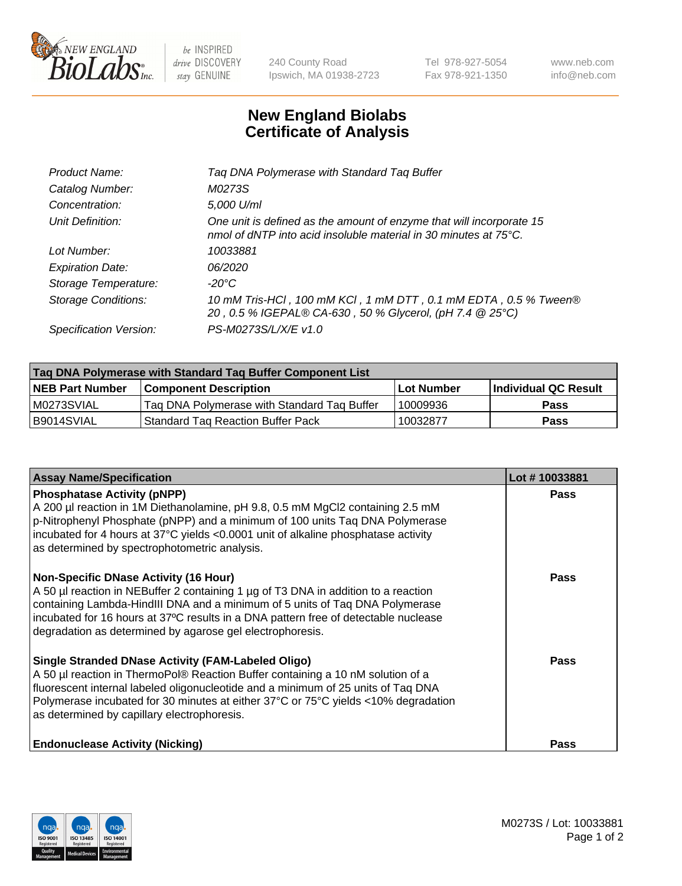

 $be$  INSPIRED drive DISCOVERY stay GENUINE

240 County Road Ipswich, MA 01938-2723 Tel 978-927-5054 Fax 978-921-1350 www.neb.com info@neb.com

## **New England Biolabs Certificate of Analysis**

| Product Name:              | Tag DNA Polymerase with Standard Tag Buffer                                                                                              |
|----------------------------|------------------------------------------------------------------------------------------------------------------------------------------|
| Catalog Number:            | M0273S                                                                                                                                   |
| Concentration:             | 5,000 U/ml                                                                                                                               |
| Unit Definition:           | One unit is defined as the amount of enzyme that will incorporate 15<br>nmol of dNTP into acid insoluble material in 30 minutes at 75°C. |
| Lot Number:                | 10033881                                                                                                                                 |
| <b>Expiration Date:</b>    | 06/2020                                                                                                                                  |
| Storage Temperature:       | $-20^{\circ}$ C                                                                                                                          |
| <b>Storage Conditions:</b> | 10 mM Tris-HCl, 100 mM KCl, 1 mM DTT, 0.1 mM EDTA, 0.5 % Tween®<br>20, 0.5 % IGEPAL® CA-630, 50 % Glycerol, (pH 7.4 @ 25°C)              |
| Specification Version:     | PS-M0273S/L/X/E v1.0                                                                                                                     |
|                            |                                                                                                                                          |

| Tag DNA Polymerase with Standard Tag Buffer Component List |                                             |                   |                      |  |
|------------------------------------------------------------|---------------------------------------------|-------------------|----------------------|--|
| <b>NEB Part Number</b>                                     | <b>Component Description</b>                | <b>Lot Number</b> | Individual QC Result |  |
| M0273SVIAL                                                 | Tag DNA Polymerase with Standard Tag Buffer | 10009936          | <b>Pass</b>          |  |
| B9014SVIAL                                                 | <b>Standard Tag Reaction Buffer Pack</b>    | 10032877          | <b>Pass</b>          |  |

| <b>Assay Name/Specification</b>                                                                                                                                                                                                                                                                                                                                        | Lot #10033881 |
|------------------------------------------------------------------------------------------------------------------------------------------------------------------------------------------------------------------------------------------------------------------------------------------------------------------------------------------------------------------------|---------------|
| <b>Phosphatase Activity (pNPP)</b><br>A 200 µl reaction in 1M Diethanolamine, pH 9.8, 0.5 mM MgCl2 containing 2.5 mM<br>p-Nitrophenyl Phosphate (pNPP) and a minimum of 100 units Taq DNA Polymerase<br>incubated for 4 hours at 37°C yields <0.0001 unit of alkaline phosphatase activity<br>as determined by spectrophotometric analysis.                            | <b>Pass</b>   |
| <b>Non-Specific DNase Activity (16 Hour)</b><br>A 50 µl reaction in NEBuffer 2 containing 1 µg of T3 DNA in addition to a reaction<br>containing Lambda-HindIII DNA and a minimum of 5 units of Taq DNA Polymerase<br>incubated for 16 hours at 37°C results in a DNA pattern free of detectable nuclease<br>degradation as determined by agarose gel electrophoresis. | <b>Pass</b>   |
| <b>Single Stranded DNase Activity (FAM-Labeled Oligo)</b><br>A 50 µl reaction in ThermoPol® Reaction Buffer containing a 10 nM solution of a<br>fluorescent internal labeled oligonucleotide and a minimum of 25 units of Taq DNA<br>Polymerase incubated for 30 minutes at either 37°C or 75°C yields <10% degradation<br>as determined by capillary electrophoresis. | Pass          |
| <b>Endonuclease Activity (Nicking)</b>                                                                                                                                                                                                                                                                                                                                 | <b>Pass</b>   |